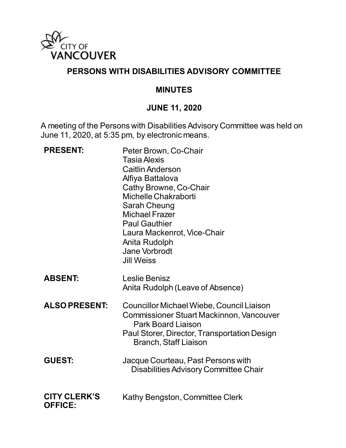

#### **PERSONS WITH DISABILITIES ADVISORY COMMITTEE**

#### **MINUTES**

#### **JUNE 11, 2020**

A meeting of the Persons with Disabilities Advisory Committee was held on June 11, 2020, at 5:35 pm, by electronic means.

| <b>PRESENT:</b>                       | Peter Brown, Co-Chair<br><b>Tasia Alexis</b><br><b>Caitlin Anderson</b><br>Alfiya Battalova<br>Cathy Browne, Co-Chair<br>Michelle Chakraborti<br>Sarah Cheung<br><b>Michael Frazer</b><br><b>Paul Gauthier</b><br>Laura Mackenrot, Vice-Chair<br>Anita Rudolph<br>Jane Vorbrodt<br><b>Jill Weiss</b> |
|---------------------------------------|------------------------------------------------------------------------------------------------------------------------------------------------------------------------------------------------------------------------------------------------------------------------------------------------------|
| <b>ABSENT:</b>                        | Leslie Benisz<br>Anita Rudolph (Leave of Absence)                                                                                                                                                                                                                                                    |
| <b>ALSO PRESENT:</b>                  | <b>Councillor Michael Wiebe, Council Liaison</b><br><b>Commissioner Stuart Mackinnon, Vancouver</b><br><b>Park Board Liaison</b><br>Paul Storer, Director, Transportation Design<br><b>Branch, Staff Liaison</b>                                                                                     |
| <b>GUEST:</b>                         | Jacque Courteau, Past Persons with<br><b>Disabilities Advisory Committee Chair</b>                                                                                                                                                                                                                   |
| <b>CITY CLERK'S</b><br><b>OFFICE:</b> | Kathy Bengston, Committee Clerk                                                                                                                                                                                                                                                                      |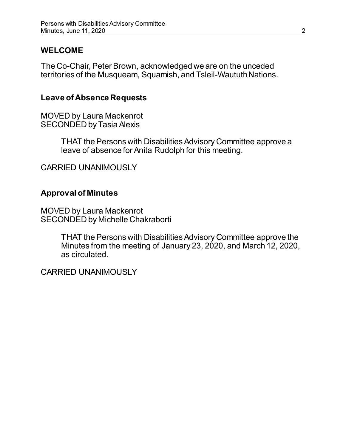### **WELCOME**

The Co-Chair, Peter Brown, acknowledged we are on the unceded territories of the Musqueam, Squamish, and Tsleil-Waututh Nations.

#### **Leave of Absence Requests**

MOVED by Laura Mackenrot SECONDED by Tasia Alexis

> THAT the Persons with Disabilities Advisory Committee approve a leave of absence for Anita Rudolph for this meeting.

CARRIED UNANIMOUSLY

#### **Approval of Minutes**

MOVED by Laura Mackenrot SECONDED by Michelle Chakraborti

> THAT the Persons with Disabilities Advisory Committee approve the Minutes from the meeting of January 23, 2020, and March 12, 2020, as circulated.

CARRIED UNANIMOUSLY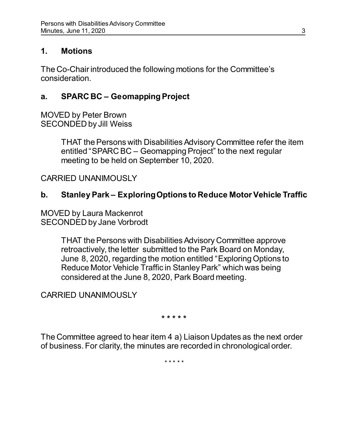### **1. Motions**

The Co-Chair introduced the following motions for the Committee's consideration.

### **a. SPARC BC – Geomapping Project**

MOVED by Peter Brown SECONDED by Jill Weiss

> THAT the Persons with Disabilities Advisory Committee refer the item entitled "SPARC BC – Geomapping Project" to the next regular meeting to be held on September 10, 2020.

CARRIED UNANIMOUSLY

## **b. Stanley Park – Exploring Options to Reduce Motor Vehicle Traffic**

MOVED by Laura Mackenrot SECONDED by Jane Vorbrodt

> THAT the Persons with Disabilities Advisory Committee approve retroactively, the letter submitted to the Park Board on Monday, June 8, 2020, regarding the motion entitled "Exploring Options to Reduce Motor Vehicle Traffic in Stanley Park" which was being considered at the June 8, 2020, Park Board meeting.

CARRIED UNANIMOUSLY

**\* \* \* \* \***

The Committee agreed to hear item 4 a) Liaison Updates as the next order of business. For clarity, the minutes are recorded in chronological order.

\* \* \* \* \*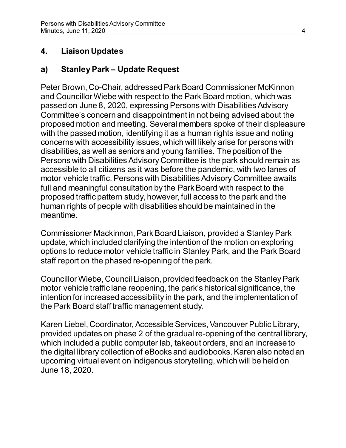### **4. Liaison Updates**

## **a) Stanley Park – Update Request**

Peter Brown, Co-Chair, addressed Park Board Commissioner McKinnon and Councillor Wiebe with respect to the Park Board motion, which was passed on June 8, 2020, expressing Persons with Disabilities Advisory Committee's concern and disappointment in not being advised about the proposed motion and meeting. Several members spoke of their displeasure with the passed motion, identifying it as a human rights issue and noting concerns with accessibility issues, which will likely arise for persons with disabilities, as well as seniors and young families. The position of the Persons with Disabilities Advisory Committee is the park should remain as accessible to all citizens as it was before the pandemic, with two lanes of motor vehicle traffic. Persons with Disabilities Advisory Committee awaits full and meaningful consultation by the Park Board with respect to the proposed traffic pattern study, however, full access to the park and the human rights of people with disabilities should be maintained in the meantime.

Commissioner Mackinnon, Park Board Liaison, provided a Stanley Park update, which included clarifying the intention of the motion on exploring options to reduce motor vehicle traffic in Stanley Park, and the Park Board staff report on the phased re-opening of the park.

Councillor Wiebe, Council Liaison, provided feedback on the Stanley Park motor vehicle traffic lane reopening, the park's historical significance, the intention for increased accessibility in the park, and the implementation of the Park Board staff traffic management study.

Karen Liebel, Coordinator, Accessible Services, Vancouver Public Library, provided updates on phase 2 of the gradual re-opening of the central library, which included a public computer lab, takeout orders, and an increase to the digital library collection of eBooks and audiobooks. Karen also noted an upcoming virtual event on Indigenous storytelling, which will be held on June 18, 2020.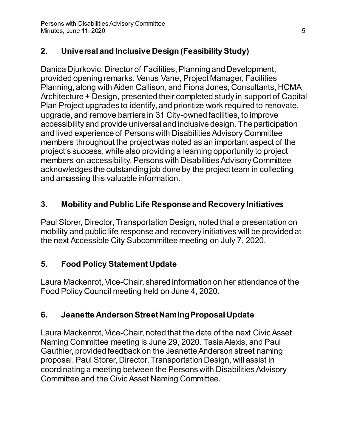# **2. Universal and Inclusive Design (Feasibility Study)**

Danica Djurkovic, Director of Facilities, Planning and Development, provided opening remarks. Venus Vane, Project Manager, Facilities Planning, along with Aiden Callison, and Fiona Jones, Consultants, HCMA Architecture + Design, presented their completed study in support of Capital Plan Project upgrades to identify, and prioritize work required to renovate, upgrade, and remove barriers in 31 City-owned facilities, to improve accessibility and provide universal and inclusive design. The participation and lived experience of Persons with Disabilities Advisory Committee members throughout the project was noted as an important aspect of the project's success, while also providing a learning opportunity to project members on accessibility. Persons with Disabilities Advisory Committee acknowledges the outstanding job done by the project team in collecting and amassing this valuable information.

## **3. Mobility and Public Life Response and Recovery Initiatives**

Paul Storer, Director, Transportation Design, noted that a presentation on mobility and public life response and recovery initiatives will be provided at the next Accessible City Subcommittee meeting on July 7, 2020.

## **5. Food Policy Statement Update**

Laura Mackenrot, Vice-Chair, shared information on her attendance of the Food Policy Council meeting held on June 4, 2020.

## **6. Jeanette Anderson Street Naming Proposal Update**

Laura Mackenrot, Vice-Chair, noted that the date of the next Civic Asset Naming Committee meeting is June 29, 2020. Tasia Alexis, and Paul Gauthier, provided feedback on the Jeanette Anderson street naming proposal. Paul Storer, Director, Transportation Design, will assist in coordinating a meeting between the Persons with Disabilities Advisory Committee and the Civic Asset Naming Committee.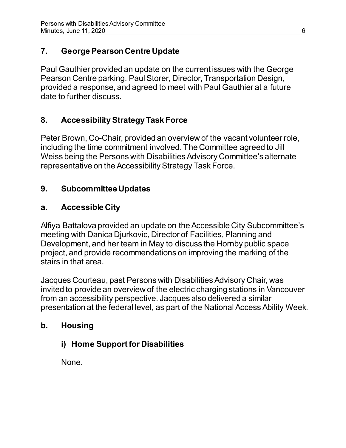## **7. George Pearson Centre Update**

Paul Gauthier provided an update on the current issues with the George Pearson Centre parking. Paul Storer, Director, Transportation Design, provided a response, and agreed to meet with Paul Gauthier at a future date to further discuss.

## **8. Accessibility Strategy Task Force**

Peter Brown, Co-Chair, provided an overview of the vacant volunteer role, including the time commitment involved. The Committee agreed to Jill Weiss being the Persons with Disabilities Advisory Committee's alternate representative on the Accessibility Strategy Task Force.

## **9. Subcommittee Updates**

### **a. Accessible City**

Alfiya Battalova provided an update on the Accessible City Subcommittee's meeting with Danica Djurkovic, Director of Facilities, Planning and Development, and her team in May to discuss the Hornby public space project, and provide recommendations on improving the marking of the stairs in that area.

Jacques Courteau, past Persons with Disabilities Advisory Chair, was invited to provide an overview of the electric charging stations in Vancouver from an accessibility perspective. Jacques also delivered a similar presentation at the federal level, as part of the National Access Ability Week.

### **b. Housing**

## **i) Home Support for Disabilities**

None.